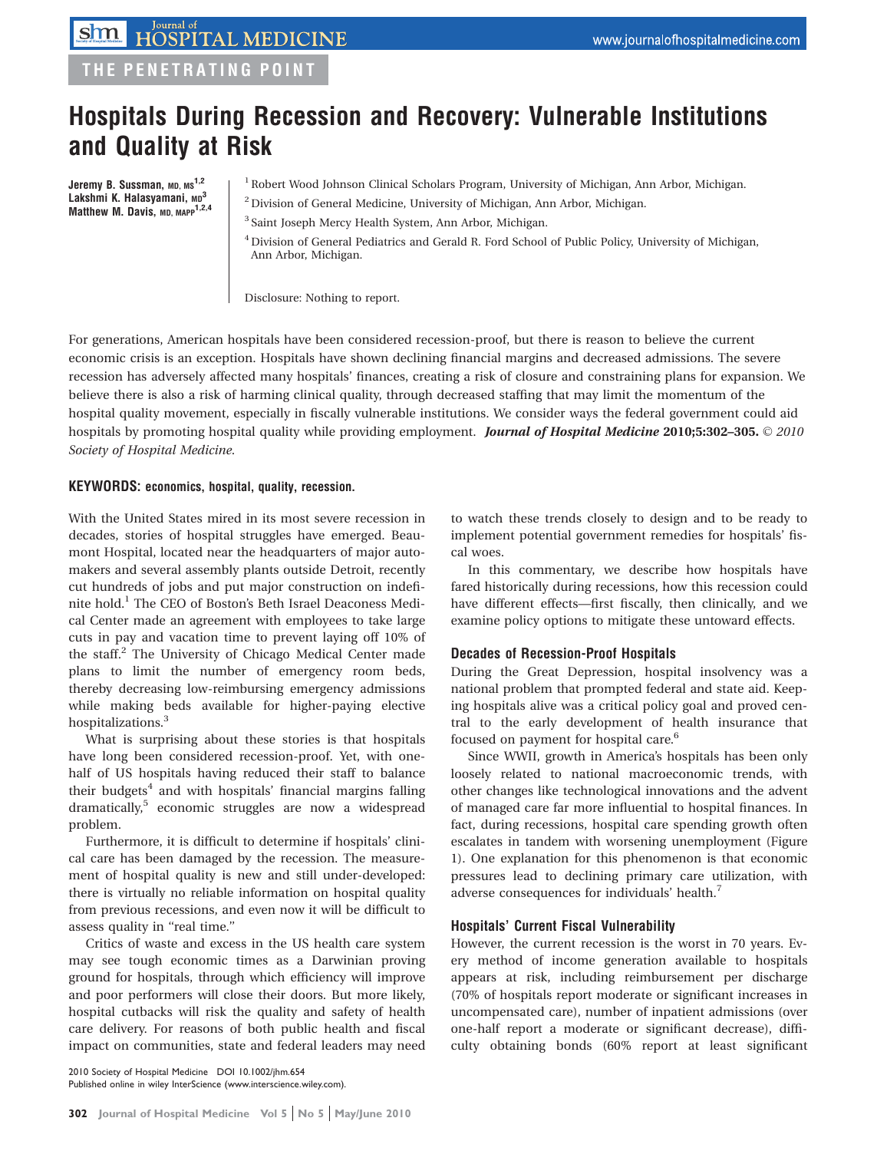# THE PENETRATING POINT

# Hospitals During Recession and Recovery: Vulnerable Institutions and Quality at Risk

Jeremy B. Sussman, MD, MS<sup>1,2</sup> Lakshmi K. Halasyamani, MD<sup>3</sup> Matthew M. Davis, MD, MAPP<sup>1,2,4</sup>

- <sup>1</sup> Robert Wood Johnson Clinical Scholars Program, University of Michigan, Ann Arbor, Michigan.
- 2Division of General Medicine, University of Michigan, Ann Arbor, Michigan.
- <sup>3</sup> Saint Joseph Mercy Health System, Ann Arbor, Michigan.

4Division of General Pediatrics and Gerald R. Ford School of Public Policy, University of Michigan, Ann Arbor, Michigan.

Disclosure: Nothing to report.

For generations, American hospitals have been considered recession-proof, but there is reason to believe the current economic crisis is an exception. Hospitals have shown declining financial margins and decreased admissions. The severe recession has adversely affected many hospitals' finances, creating a risk of closure and constraining plans for expansion. We believe there is also a risk of harming clinical quality, through decreased staffing that may limit the momentum of the hospital quality movement, especially in fiscally vulnerable institutions. We consider ways the federal government could aid hospitals by promoting hospital quality while providing employment. Journal of Hospital Medicine 2010;5:302–305.  $\odot$  2010 Society of Hospital Medicine.

#### KEYWORDS: economics, hospital, quality, recession.

With the United States mired in its most severe recession in decades, stories of hospital struggles have emerged. Beaumont Hospital, located near the headquarters of major automakers and several assembly plants outside Detroit, recently cut hundreds of jobs and put major construction on indefinite hold.<sup>1</sup> The CEO of Boston's Beth Israel Deaconess Medical Center made an agreement with employees to take large cuts in pay and vacation time to prevent laying off 10% of the staff.<sup>2</sup> The University of Chicago Medical Center made plans to limit the number of emergency room beds, thereby decreasing low-reimbursing emergency admissions while making beds available for higher-paying elective hospitalizations.<sup>3</sup>

What is surprising about these stories is that hospitals have long been considered recession-proof. Yet, with onehalf of US hospitals having reduced their staff to balance their budgets<sup>4</sup> and with hospitals' financial margins falling dramatically,<sup>5</sup> economic struggles are now a widespread problem.

Furthermore, it is difficult to determine if hospitals' clinical care has been damaged by the recession. The measurement of hospital quality is new and still under-developed: there is virtually no reliable information on hospital quality from previous recessions, and even now it will be difficult to assess quality in ''real time.''

Critics of waste and excess in the US health care system may see tough economic times as a Darwinian proving ground for hospitals, through which efficiency will improve and poor performers will close their doors. But more likely, hospital cutbacks will risk the quality and safety of health care delivery. For reasons of both public health and fiscal impact on communities, state and federal leaders may need to watch these trends closely to design and to be ready to implement potential government remedies for hospitals' fiscal woes.

In this commentary, we describe how hospitals have fared historically during recessions, how this recession could have different effects—first fiscally, then clinically, and we examine policy options to mitigate these untoward effects.

#### Decades of Recession-Proof Hospitals

During the Great Depression, hospital insolvency was a national problem that prompted federal and state aid. Keeping hospitals alive was a critical policy goal and proved central to the early development of health insurance that focused on payment for hospital care.<sup>6</sup>

Since WWII, growth in America's hospitals has been only loosely related to national macroeconomic trends, with other changes like technological innovations and the advent of managed care far more influential to hospital finances. In fact, during recessions, hospital care spending growth often escalates in tandem with worsening unemployment (Figure 1). One explanation for this phenomenon is that economic pressures lead to declining primary care utilization, with adverse consequences for individuals' health.<sup>7</sup>

#### Hospitals' Current Fiscal Vulnerability

However, the current recession is the worst in 70 years. Every method of income generation available to hospitals appears at risk, including reimbursement per discharge (70% of hospitals report moderate or significant increases in uncompensated care), number of inpatient admissions (over one-half report a moderate or significant decrease), difficulty obtaining bonds (60% report at least significant

2010 Society of Hospital Medicine DOI 10.1002/jhm.654 Published online in wiley InterScience (www.interscience.wiley.com).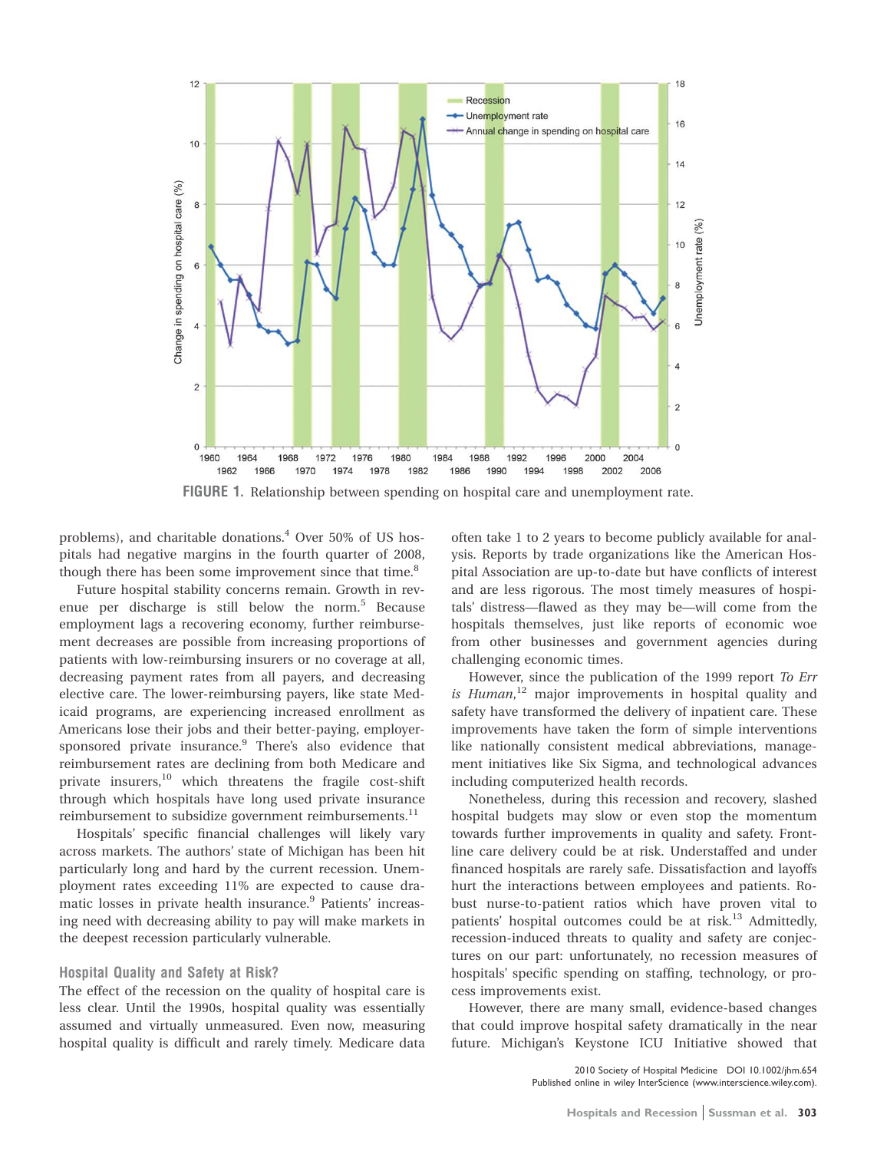

FIGURE 1. Relationship between spending on hospital care and unemployment rate.

problems), and charitable donations.4 Over 50% of US hospitals had negative margins in the fourth quarter of 2008, though there has been some improvement since that time.<sup>8</sup>

Future hospital stability concerns remain. Growth in revenue per discharge is still below the norm.<sup>5</sup> Because employment lags a recovering economy, further reimbursement decreases are possible from increasing proportions of patients with low-reimbursing insurers or no coverage at all, decreasing payment rates from all payers, and decreasing elective care. The lower-reimbursing payers, like state Medicaid programs, are experiencing increased enrollment as Americans lose their jobs and their better-paying, employersponsored private insurance.<sup>9</sup> There's also evidence that reimbursement rates are declining from both Medicare and private insurers,10 which threatens the fragile cost-shift through which hospitals have long used private insurance reimbursement to subsidize government reimbursements.<sup>11</sup>

Hospitals' specific financial challenges will likely vary across markets. The authors' state of Michigan has been hit particularly long and hard by the current recession. Unemployment rates exceeding 11% are expected to cause dramatic losses in private health insurance.<sup>9</sup> Patients' increasing need with decreasing ability to pay will make markets in the deepest recession particularly vulnerable.

#### Hospital Quality and Safety at Risk?

The effect of the recession on the quality of hospital care is less clear. Until the 1990s, hospital quality was essentially assumed and virtually unmeasured. Even now, measuring hospital quality is difficult and rarely timely. Medicare data

often take 1 to 2 years to become publicly available for analysis. Reports by trade organizations like the American Hospital Association are up-to-date but have conflicts of interest and are less rigorous. The most timely measures of hospitals' distress—flawed as they may be—will come from the hospitals themselves, just like reports of economic woe from other businesses and government agencies during challenging economic times.

However, since the publication of the 1999 report To Err is Human,<sup>12</sup> major improvements in hospital quality and safety have transformed the delivery of inpatient care. These improvements have taken the form of simple interventions like nationally consistent medical abbreviations, management initiatives like Six Sigma, and technological advances including computerized health records.

Nonetheless, during this recession and recovery, slashed hospital budgets may slow or even stop the momentum towards further improvements in quality and safety. Frontline care delivery could be at risk. Understaffed and under financed hospitals are rarely safe. Dissatisfaction and layoffs hurt the interactions between employees and patients. Robust nurse-to-patient ratios which have proven vital to patients' hospital outcomes could be at risk.<sup>13</sup> Admittedly, recession-induced threats to quality and safety are conjectures on our part: unfortunately, no recession measures of hospitals' specific spending on staffing, technology, or process improvements exist.

However, there are many small, evidence-based changes that could improve hospital safety dramatically in the near future. Michigan's Keystone ICU Initiative showed that

> 2010 Society of Hospital Medicine DOI 10.1002/jhm.654 Published online in wiley InterScience (www.interscience.wiley.com).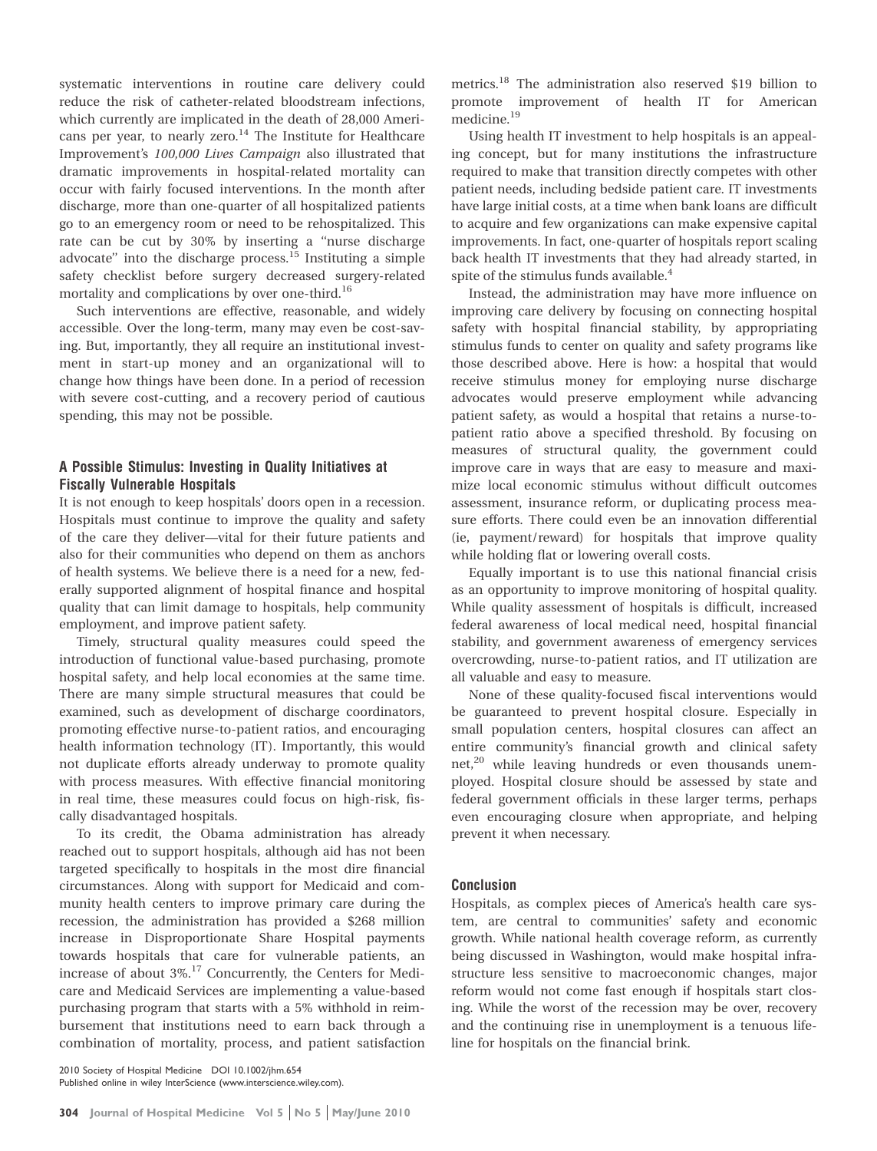systematic interventions in routine care delivery could reduce the risk of catheter-related bloodstream infections, which currently are implicated in the death of 28,000 Americans per year, to nearly zero. $14$  The Institute for Healthcare Improvement's 100,000 Lives Campaign also illustrated that dramatic improvements in hospital-related mortality can occur with fairly focused interventions. In the month after discharge, more than one-quarter of all hospitalized patients go to an emergency room or need to be rehospitalized. This rate can be cut by 30% by inserting a ''nurse discharge advocate" into the discharge process. $15$  Instituting a simple safety checklist before surgery decreased surgery-related mortality and complications by over one-third.<sup>16</sup>

Such interventions are effective, reasonable, and widely accessible. Over the long-term, many may even be cost-saving. But, importantly, they all require an institutional investment in start-up money and an organizational will to change how things have been done. In a period of recession with severe cost-cutting, and a recovery period of cautious spending, this may not be possible.

## A Possible Stimulus: Investing in Quality Initiatives at Fiscally Vulnerable Hospitals

It is not enough to keep hospitals' doors open in a recession. Hospitals must continue to improve the quality and safety of the care they deliver—vital for their future patients and also for their communities who depend on them as anchors of health systems. We believe there is a need for a new, federally supported alignment of hospital finance and hospital quality that can limit damage to hospitals, help community employment, and improve patient safety.

Timely, structural quality measures could speed the introduction of functional value-based purchasing, promote hospital safety, and help local economies at the same time. There are many simple structural measures that could be examined, such as development of discharge coordinators, promoting effective nurse-to-patient ratios, and encouraging health information technology (IT). Importantly, this would not duplicate efforts already underway to promote quality with process measures. With effective financial monitoring in real time, these measures could focus on high-risk, fiscally disadvantaged hospitals.

To its credit, the Obama administration has already reached out to support hospitals, although aid has not been targeted specifically to hospitals in the most dire financial circumstances. Along with support for Medicaid and community health centers to improve primary care during the recession, the administration has provided a \$268 million increase in Disproportionate Share Hospital payments towards hospitals that care for vulnerable patients, an increase of about 3%.<sup>17</sup> Concurrently, the Centers for Medicare and Medicaid Services are implementing a value-based purchasing program that starts with a 5% withhold in reimbursement that institutions need to earn back through a combination of mortality, process, and patient satisfaction

2010 Society of Hospital Medicine DOI 10.1002/jhm.654 Published online in wiley InterScience (www.interscience.wiley.com). metrics.18 The administration also reserved \$19 billion to promote improvement of health IT for American medicine.19

Using health IT investment to help hospitals is an appealing concept, but for many institutions the infrastructure required to make that transition directly competes with other patient needs, including bedside patient care. IT investments have large initial costs, at a time when bank loans are difficult to acquire and few organizations can make expensive capital improvements. In fact, one-quarter of hospitals report scaling back health IT investments that they had already started, in spite of the stimulus funds available.<sup>4</sup>

Instead, the administration may have more influence on improving care delivery by focusing on connecting hospital safety with hospital financial stability, by appropriating stimulus funds to center on quality and safety programs like those described above. Here is how: a hospital that would receive stimulus money for employing nurse discharge advocates would preserve employment while advancing patient safety, as would a hospital that retains a nurse-topatient ratio above a specified threshold. By focusing on measures of structural quality, the government could improve care in ways that are easy to measure and maximize local economic stimulus without difficult outcomes assessment, insurance reform, or duplicating process measure efforts. There could even be an innovation differential (ie, payment/reward) for hospitals that improve quality while holding flat or lowering overall costs.

Equally important is to use this national financial crisis as an opportunity to improve monitoring of hospital quality. While quality assessment of hospitals is difficult, increased federal awareness of local medical need, hospital financial stability, and government awareness of emergency services overcrowding, nurse-to-patient ratios, and IT utilization are all valuable and easy to measure.

None of these quality-focused fiscal interventions would be guaranteed to prevent hospital closure. Especially in small population centers, hospital closures can affect an entire community's financial growth and clinical safety net, $^{20}$  while leaving hundreds or even thousands unemployed. Hospital closure should be assessed by state and federal government officials in these larger terms, perhaps even encouraging closure when appropriate, and helping prevent it when necessary.

### Conclusion

Hospitals, as complex pieces of America's health care system, are central to communities' safety and economic growth. While national health coverage reform, as currently being discussed in Washington, would make hospital infrastructure less sensitive to macroeconomic changes, major reform would not come fast enough if hospitals start closing. While the worst of the recession may be over, recovery and the continuing rise in unemployment is a tenuous lifeline for hospitals on the financial brink.